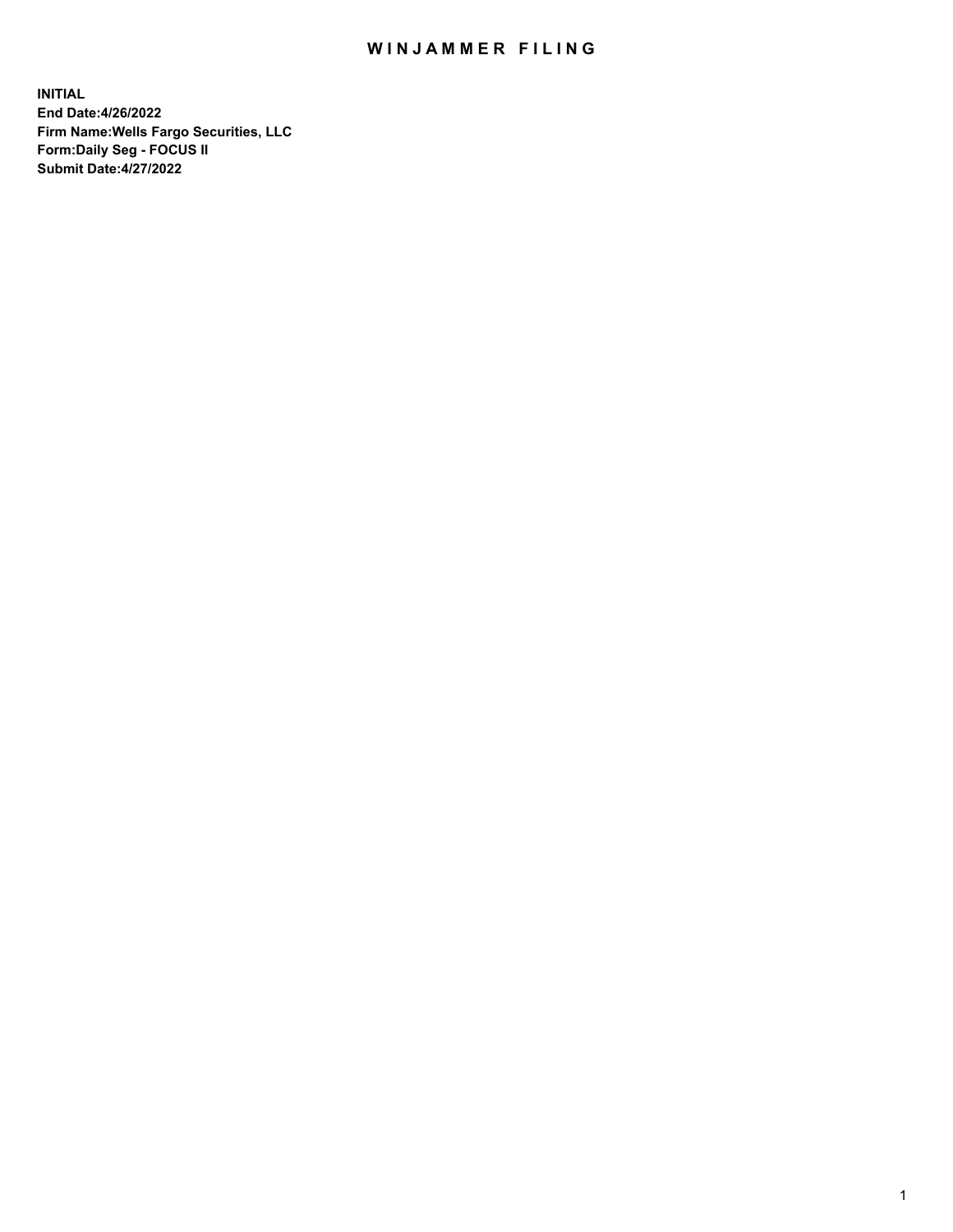## WIN JAMMER FILING

**INITIAL End Date:4/26/2022 Firm Name:Wells Fargo Securities, LLC Form:Daily Seg - FOCUS II Submit Date:4/27/2022**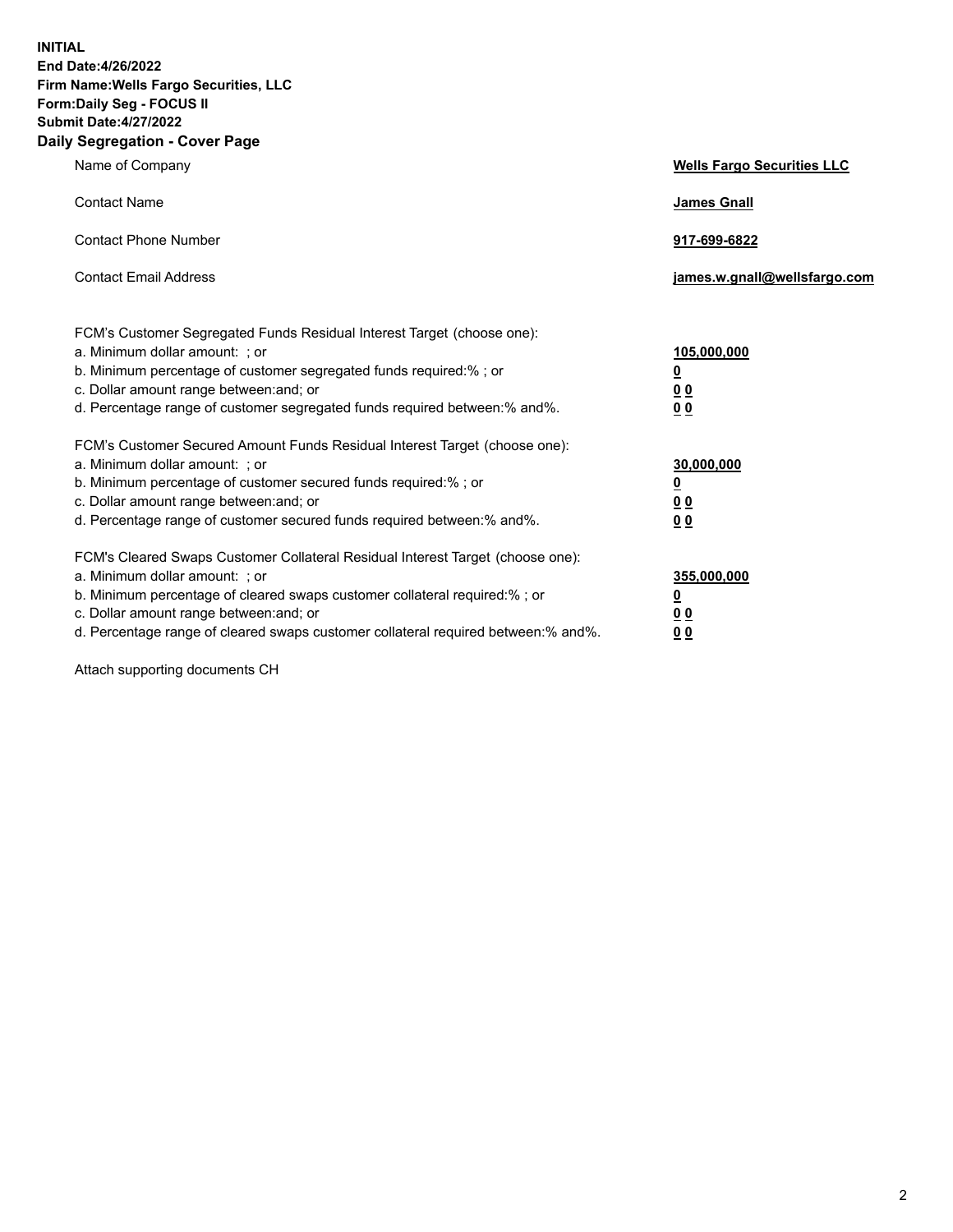**INITIAL End Date:4/26/2022 Firm Name:Wells Fargo Securities, LLC Form:Daily Seg - FOCUS II Submit Date:4/27/2022 Daily Segregation - Cover Page**

| Name of Company                                                                                                                                                                                                                                                                                                                | <b>Wells Fargo Securities LLC</b>                          |
|--------------------------------------------------------------------------------------------------------------------------------------------------------------------------------------------------------------------------------------------------------------------------------------------------------------------------------|------------------------------------------------------------|
| <b>Contact Name</b>                                                                                                                                                                                                                                                                                                            | <b>James Gnall</b>                                         |
| <b>Contact Phone Number</b>                                                                                                                                                                                                                                                                                                    | 917-699-6822                                               |
| <b>Contact Email Address</b>                                                                                                                                                                                                                                                                                                   | james.w.gnall@wellsfargo.com                               |
| FCM's Customer Segregated Funds Residual Interest Target (choose one):<br>a. Minimum dollar amount: ; or<br>b. Minimum percentage of customer segregated funds required:% ; or<br>c. Dollar amount range between: and; or<br>d. Percentage range of customer segregated funds required between:% and%.                         | 105,000,000<br><u>0</u><br>0 <sub>0</sub><br>00            |
| FCM's Customer Secured Amount Funds Residual Interest Target (choose one):<br>a. Minimum dollar amount: ; or<br>b. Minimum percentage of customer secured funds required:%; or<br>c. Dollar amount range between: and; or<br>d. Percentage range of customer secured funds required between:% and%.                            | 30,000,000<br><u>0</u><br>0 <sub>0</sub><br>0 <sub>0</sub> |
| FCM's Cleared Swaps Customer Collateral Residual Interest Target (choose one):<br>a. Minimum dollar amount: ; or<br>b. Minimum percentage of cleared swaps customer collateral required:% ; or<br>c. Dollar amount range between: and; or<br>d. Percentage range of cleared swaps customer collateral required between:% and%. | 355,000,000<br><u>0</u><br>00<br>00                        |

Attach supporting documents CH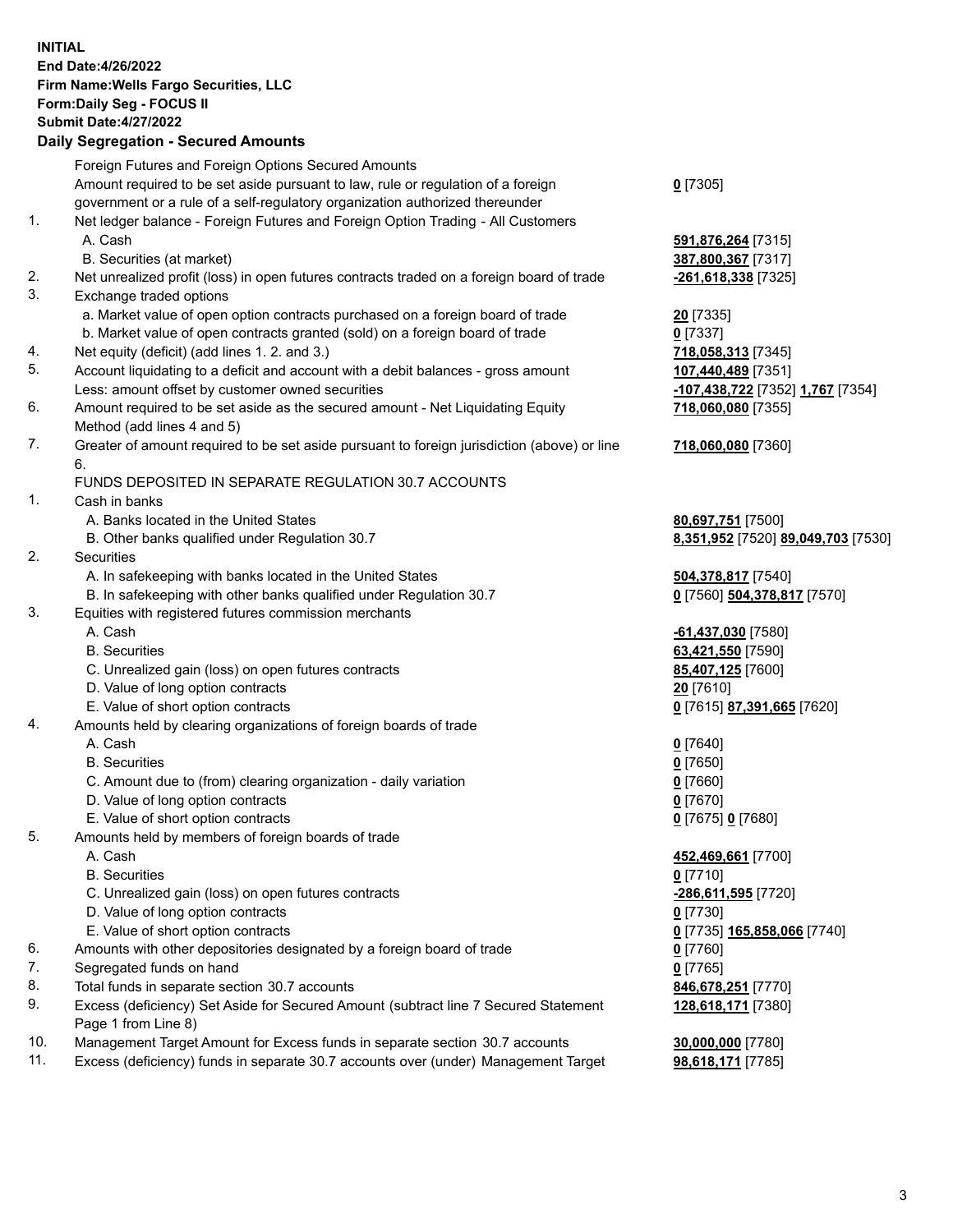**INITIAL End Date:4/26/2022 Firm Name:Wells Fargo Securities, LLC Form:Daily Seg - FOCUS II Submit Date:4/27/2022 Daily Segregation - Secured Amounts**

Foreign Futures and Foreign Options Secured Amounts Amount required to be set aside pursuant to law, rule or regulation of a foreign government or a rule of a self-regulatory organization authorized thereunder **0** [7305] 1. Net ledger balance - Foreign Futures and Foreign Option Trading - All Customers A. Cash **591,876,264** [7315] B. Securities (at market) **387,800,367** [7317] 2. Net unrealized profit (loss) in open futures contracts traded on a foreign board of trade **-261,618,338** [7325] 3. Exchange traded options a. Market value of open option contracts purchased on a foreign board of trade **20** [7335] b. Market value of open contracts granted (sold) on a foreign board of trade **0** [7337] 4. Net equity (deficit) (add lines 1. 2. and 3.) **718,058,313** [7345] 5. Account liquidating to a deficit and account with a debit balances - gross amount **107,440,489** [7351] Less: amount offset by customer owned securities **-107,438,722** [7352] **1,767** [7354] 6. Amount required to be set aside as the secured amount - Net Liquidating Equity Method (add lines 4 and 5) 7. Greater of amount required to be set aside pursuant to foreign jurisdiction (above) or line 6. FUNDS DEPOSITED IN SEPARATE REGULATION 30.7 ACCOUNTS 1. Cash in banks A. Banks located in the United States **80,697,751** [7500] B. Other banks qualified under Regulation 30.7 **8,351,952** [7520] **89,049,703** [7530] 2. Securities A. In safekeeping with banks located in the United States **504,378,817** [7540] B. In safekeeping with other banks qualified under Regulation 30.7 **0** [7560] **504,378,817** [7570] 3. Equities with registered futures commission merchants A. Cash **-61,437,030** [7580] B. Securities **63,421,550** [7590] C. Unrealized gain (loss) on open futures contracts **85,407,125** [7600] D. Value of long option contracts **20** [7610] E. Value of short option contracts **0** [7615] **87,391,665** [7620] 4. Amounts held by clearing organizations of foreign boards of trade A. Cash **0** [7640] B. Securities **0** [7650] C. Amount due to (from) clearing organization - daily variation **0** [7660] D. Value of long option contracts **0** [7670] E. Value of short option contracts **0** [7675] **0** [7680] 5. Amounts held by members of foreign boards of trade A. Cash **452,469,661** [7700] B. Securities **0** [7710] C. Unrealized gain (loss) on open futures contracts **-286,611,595** [7720] D. Value of long option contracts **0** [7730] E. Value of short option contracts **0** [7735] **165,858,066** [7740] 6. Amounts with other depositories designated by a foreign board of trade **0** [7760]

- 7. Segregated funds on hand **0** [7765]
- 8. Total funds in separate section 30.7 accounts **846,678,251** [7770]
- 9. Excess (deficiency) Set Aside for Secured Amount (subtract line 7 Secured Statement Page 1 from Line 8)
- 10. Management Target Amount for Excess funds in separate section 30.7 accounts **30,000,000** [7780]
- 11. Excess (deficiency) funds in separate 30.7 accounts over (under) Management Target **98,618,171** [7785]

**718,060,080** [7355]

**718,060,080** [7360]

**128,618,171** [7380]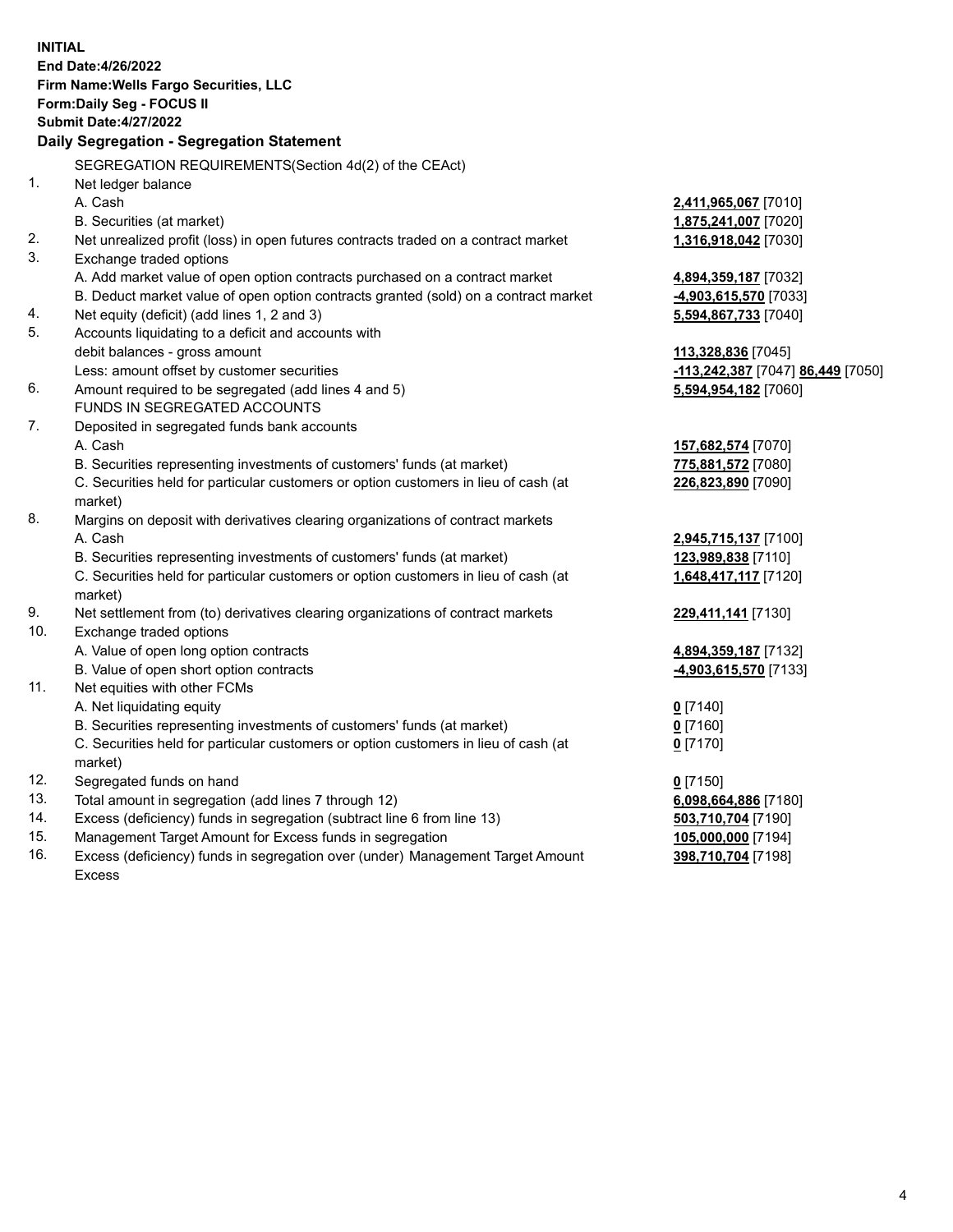**INITIAL End Date:4/26/2022 Firm Name:Wells Fargo Securities, LLC Form:Daily Seg - FOCUS II Submit Date:4/27/2022 Daily Segregation - Segregation Statement** SEGREGATION REQUIREMENTS(Section 4d(2) of the CEAct) 1. Net ledger balance A. Cash **2,411,965,067** [7010] B. Securities (at market) **1,875,241,007** [7020] 2. Net unrealized profit (loss) in open futures contracts traded on a contract market **1,316,918,042** [7030] 3. Exchange traded options A. Add market value of open option contracts purchased on a contract market **4,894,359,187** [7032] B. Deduct market value of open option contracts granted (sold) on a contract market **-4,903,615,570** [7033] 4. Net equity (deficit) (add lines 1, 2 and 3) **5,594,867,733** [7040] 5. Accounts liquidating to a deficit and accounts with debit balances - gross amount **113,328,836** [7045] Less: amount offset by customer securities **-113,242,387** [7047] **86,449** [7050] 6. Amount required to be segregated (add lines 4 and 5) **5,594,954,182** [7060] FUNDS IN SEGREGATED ACCOUNTS 7. Deposited in segregated funds bank accounts A. Cash **157,682,574** [7070] B. Securities representing investments of customers' funds (at market) **775,881,572** [7080] C. Securities held for particular customers or option customers in lieu of cash (at market) **226,823,890** [7090] 8. Margins on deposit with derivatives clearing organizations of contract markets A. Cash **2,945,715,137** [7100] B. Securities representing investments of customers' funds (at market) **123,989,838** [7110] C. Securities held for particular customers or option customers in lieu of cash (at market) **1,648,417,117** [7120] 9. Net settlement from (to) derivatives clearing organizations of contract markets **229,411,141** [7130] 10. Exchange traded options A. Value of open long option contracts **4,894,359,187** [7132] B. Value of open short option contracts **-4,903,615,570** [7133] 11. Net equities with other FCMs A. Net liquidating equity **0** [7140] B. Securities representing investments of customers' funds (at market) **0** [7160] C. Securities held for particular customers or option customers in lieu of cash (at market) **0** [7170] 12. Segregated funds on hand **0** [7150] 13. Total amount in segregation (add lines 7 through 12) **6,098,664,886** [7180] 14. Excess (deficiency) funds in segregation (subtract line 6 from line 13) **503,710,704** [7190] 15. Management Target Amount for Excess funds in segregation **105,000,000** [7194] 16. Excess (deficiency) funds in segregation over (under) Management Target Amount Excess **398,710,704** [7198]